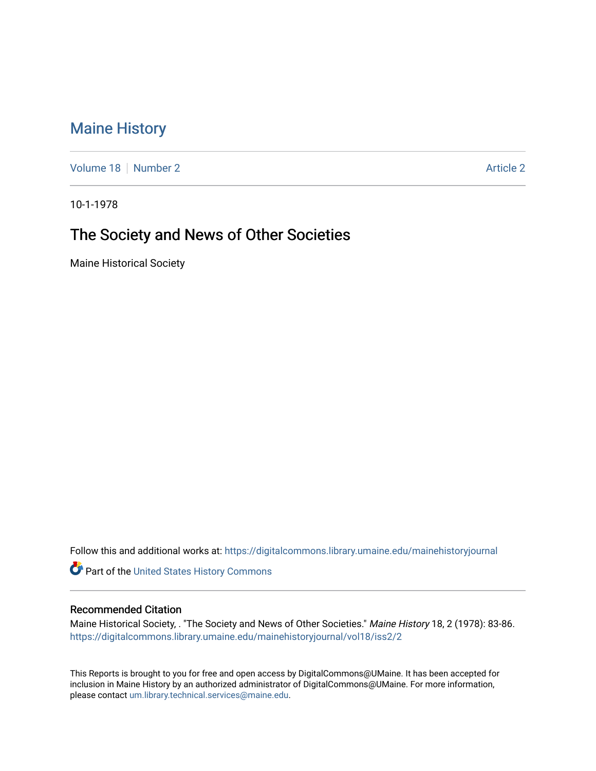# [Maine History](https://digitalcommons.library.umaine.edu/mainehistoryjournal)

[Volume 18](https://digitalcommons.library.umaine.edu/mainehistoryjournal/vol18) [Number 2](https://digitalcommons.library.umaine.edu/mainehistoryjournal/vol18/iss2) [Article 2](https://digitalcommons.library.umaine.edu/mainehistoryjournal/vol18/iss2/2) Article 2 Article 2 Article 2 Article 2 Article 2 Article 2

10-1-1978

# The Society and News of Other Societies

Maine Historical Society

Follow this and additional works at: [https://digitalcommons.library.umaine.edu/mainehistoryjournal](https://digitalcommons.library.umaine.edu/mainehistoryjournal?utm_source=digitalcommons.library.umaine.edu%2Fmainehistoryjournal%2Fvol18%2Fiss2%2F2&utm_medium=PDF&utm_campaign=PDFCoverPages) 

Part of the [United States History Commons](http://network.bepress.com/hgg/discipline/495?utm_source=digitalcommons.library.umaine.edu%2Fmainehistoryjournal%2Fvol18%2Fiss2%2F2&utm_medium=PDF&utm_campaign=PDFCoverPages) 

### Recommended Citation

Maine Historical Society, . "The Society and News of Other Societies." Maine History 18, 2 (1978): 83-86. [https://digitalcommons.library.umaine.edu/mainehistoryjournal/vol18/iss2/2](https://digitalcommons.library.umaine.edu/mainehistoryjournal/vol18/iss2/2?utm_source=digitalcommons.library.umaine.edu%2Fmainehistoryjournal%2Fvol18%2Fiss2%2F2&utm_medium=PDF&utm_campaign=PDFCoverPages)

This Reports is brought to you for free and open access by DigitalCommons@UMaine. It has been accepted for inclusion in Maine History by an authorized administrator of DigitalCommons@UMaine. For more information, please contact [um.library.technical.services@maine.edu.](mailto:um.library.technical.services@maine.edu)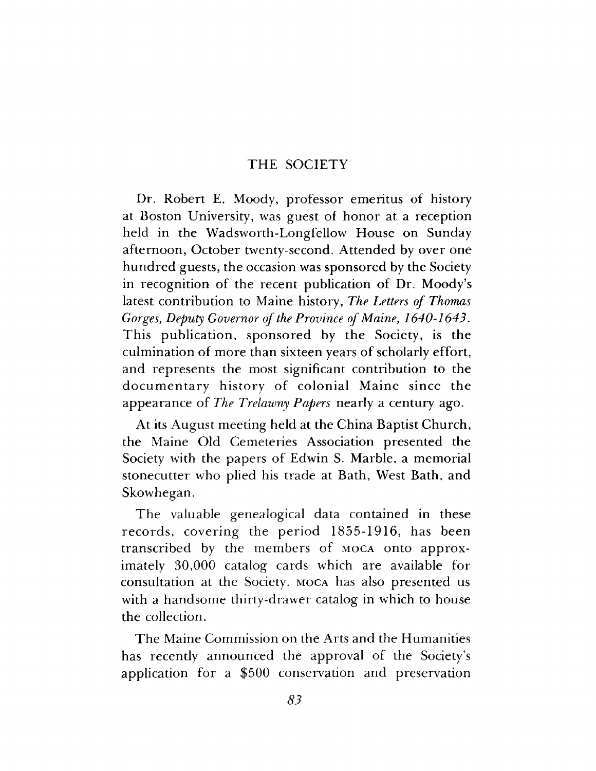### **THE SOCIETY**

Dr. Robert E. Moody, professor emeritus of history at Boston University, was guest of honor at a reception held in the Wadsworth-Longfellow House on Sunday afternoon, October twenty-second. Attended by over one hundred guests, the occasion was sponsored by the Society in recognition of the recent publication of Dr. Moody's latest contribution to Maine history, *The Letters of Thomas Gorges*, *Deputy Governor of the Province of Maine, 1640-1643.* This publication, sponsored by the Society, is the culmination of more than sixteen years of scholarly effort, and represents the most significant contribution to the documentary history of colonial Maine since the appearance of *The Trelawny Papers* nearly a century ago.

At its August meeting held at the China Baptist Church, the Maine Old Cemeteries Association presented the Society with the papers of Edwin S. Marble, a memorial stonecutter who plied his trade at Bath, West Bath, and Skowhegan.

The valuable genealogical data contained in these records, covering the period 1855-1916, has been transcribed by the members of MOCA onto approximately 30,000 catalog cards which are available for consultation at the Society. MOCA has also presented us with a handsome thirty-drawer catalog in which to house the collection.

The Maine Commission on the Arts and the Humanities has recently announced the approval of the Society's application for a \$500 conservation and preservation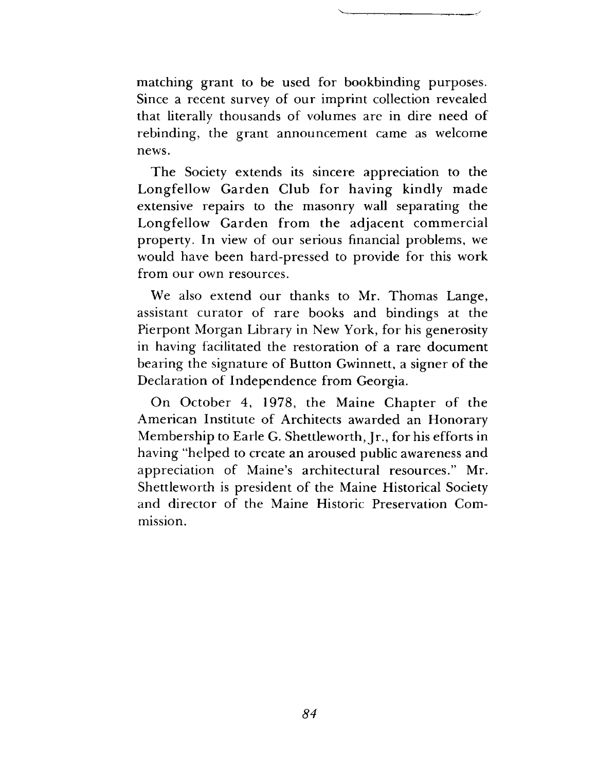matching grant to be used for bookbinding purposes. Since a recent survey of our imprint collection revealed that literally thousands of volumes are in dire need of rebinding, the grant announcement came as welcome news.

The Society extends its sincere appreciation to the Longfellow Garden Club for having kindly made extensive repairs to the masonry wall separating the Longfellow Garden from the adjacent commercial property. In view of our serious financial problems, we would have been hard-pressed to provide for this work from our own resources.

We also extend our thanks to Mr. Thomas Lange, assistant curator of rare books and bindings at the Pierpont Morgan Library in New York, for his generosity in having facilitated the restoration of a rare document bearing the signature of Button Gwinnett, a signer of the Declaration of Independence from Georgia.

On October 4, 1978, the Maine Chapter of the American Institute of Architects awarded an Honorary Membership to Earle G. Shettleworth, Jr., for his efforts in having "helped to create an aroused public awareness and appreciation of Maine's architectural resources." Mr. Shettleworth is president of the Maine Historical Society and director of the Maine Historic Preservation Commission.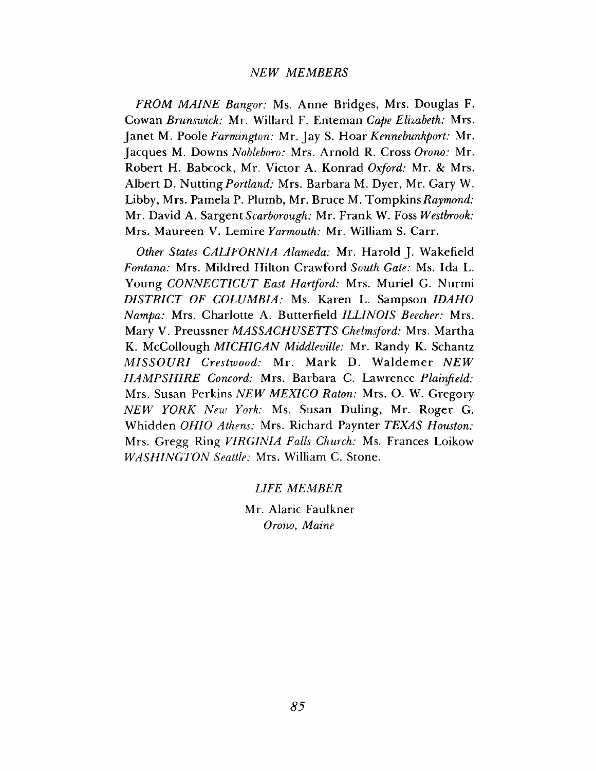#### *NEW MEMBERS*

*FROM M AINE Bangor:* Ms. Anne Bridges, Mrs. Douglas F. Cowan *Brunswick:* Mr. Willard F. Enteman *Cape Elizabeth:* Mrs. Janet M. Poole *Farmington:* Mr. Jay S. Hoar *Kennebunkport:* Mr. Jacques M. Downs *Nobleboro:* Mrs. Arnold R. Cross *Orono:* Mr. Robert H. Babcock, Mr. Victor A. Konrad *Oxford:* Mr. & Mrs. Albert D. Nutting *Portland:* Mrs. Barbara M. Dyer, Mr. Gary W. Libby, Mrs. Pamela P. Plumb, Mr. Bruce M. Tompkins*Raymond:* Mr. David A. Sargent *Scarborough:* Mr. Frank W. Foss *Westbrook:* Mrs. Maureen V. Lemire *Yarmouth:* Mr. William S. Carr.

*Other States CALIFORNIA Alameda:* Mr. Harold J. Wakefield *Fontana:* Mrs. Mildred Hilton Crawford *South Gate:* Ms. Ida L. Young *CONNECTICUT East Hartford:* Mrs. Muriel G. Nurmi *D ISTRICT OF COLUMBIA:* Ms. Karen L. Sampson *IDAHO Nampa:* Mrs. Charlotte A. Butterfield *ILLINOIS Beecher:* Mrs. Mary V. *Preussner MASSACHUSETTS Chelmsford:* Mrs. Martha K. McCollough *MICHIGAN Middleville:* Mr. Randy K. Schantz *MISSOURI Crestwood: Mr. Mark D. Waldemer NEW HAM PSH IRE Concord:* Mrs. Barbara C. Lawrence *Plainfield:* Mrs. Susan Perkins *NEW MEXICO Raton:* Mrs. O. W. Gregory *N E W YORK New York:* Ms. Susan Duling, Mr. Roger G. Whidden *OHIO Athens:* Mrs. Richard Paynter *TEXAS Houston:* Mrs. Gregg Ring *VIRGINIA Falls Church:* Ms. Frances Loikow *W ASHINGTON Seattle:* Mrs. William C. Stone.

*LIFE MEMBER*

Mr. Alaric Faulkner *Orono*, *Maine*